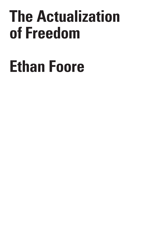# **The Actualization of Freedom**

# **Ethan Foore**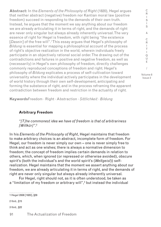**Abstract:** In the *Elements of the Philosophy of Right* (1820), Hegel argues that neither abstract (negative) freedom nor Kantian moral law (positive freedom) succeed in responding to the demands of their own truth. Instead, he argues that the moment we say anything about our freedom we are already articulating it in terms of right, and the demands of right are never only singular but always already inherently universal. The very essence of right for Hegel is freedom, with right being "the existence [*Dasein*] of the free will".<sup>1</sup>This essay argues that Hegel's philosophy of *Bildung* is essential for mapping a philosophical account of the process of right's objective realization in the world, wherein individuals freely participate in an objectively rational social order. The drawing out of the contradictions and failures in positive and negative freedom, as well as (necessarily) in Hegel's own philosophy of freedom, directly challenges commonly reproduced conceptions of freedom and right. Hegel's philosophy of *Bildung* explicates a process of self-cultivation toward universality where the individual actively participates in the development of world history through their own self-development, anticipating and forming the substance of right, and in the process reframing the apparent contradiction between freedom and restriction in the actuality of right.

& C R I T  $\mathbf{I}$ Q U E / Volume 8

C R  $\mathbf{I}$ S I S

Issue 2

**Keywords**Freedom · Right · Abstraction · *Sittlichkeit* · *Bildung*

#### **Arbitrary Freedom**

*"[T]he commonest idea we have of freedom is that of arbitrariness [Willkür]"*. 2

In his *Elements of the Philosophy of Right*, Hegel maintains that freedom to make arbitrary choices is an abstract, incomplete form of freedom. For Hegel, our freedom is never simply our own – one is never simply free to think and act as one wishes; there is always a normative dimension to freedom; the concept of freedom implies certain demands in relation to others, which, when ignored (or repressed or otherwise avoided), obscure spirit's (both the individual's and the world spirit's (*Weltgeist*)) selfrealization. Hegel maintains that the moment we assert anything about our freedom, we are already articulating it in terms of right, and the demands of right are never only singular but always already inherently universal.

For Hegel, right should not, as it is often understood, be taken as a "limitation of my freedom or arbitrary will",<sup>3</sup> but instead the individual

1 Hegel 2008 [1820], §29

2 Ibid., §15

3 Ibid., §22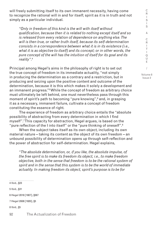will freely submitting itself to its own immanent necessity, having come to recognize the rational will in and for itself; spirit as it is in truth and not simply as a particular individual.

*"Only in freedom of this kind is the will with itself without qualification, because then it is related to nothing except itself and so is released from every relation of dependence on anything else. The will is then true, or rather truth itself, because its self-determination consists in a correspondence between what it is in its existence (i.e., what it is as objective to itself) and its concept; or in other words, the pure concept of the will has the intuition of itself for its goal and its reality"*. 4

Principal among Hegel's aims in the philosophy of right is to set out the true concept of freedom in its immediate actuality, "not simply in producing the determination as a contrary and a restriction, but in producing and seizing upon the positive content and outcome of the determination, because it is this which makes it solely a development and an immanent progress."5 While the concept of freedom as arbitrary choice must ultimately be left behind, one must nevertheless pass through this moment of spirit's path to becoming "pure knowing",6 and, in grasping it as a necessary, immanent failure, cultivate a concept of freedom constituting the essence of right.

The experience of freedom as arbitrary choice entails the "absolute possibility of abstracting from every determination in which I find myself".7 This capacity for abstraction, Hegel argues, is based on the "pure reflection of the I into itself" or the "pure thinking of oneself".<sup>8</sup>

When the subject takes itself as its own object, including its own material nature – taking its content as the object of its own freedom – an unbound possibility of determination opens up through self-reflection and the power of abstraction for self-determination. Hegel explains,

*"The absolute determination, or, if you like, the absolute impulse, of the free spirit is to make its freedom its object, i.e., to make freedom objective, both in the sense that freedom is to be the rational system of spirit and in the sense that this system is to be the world of immediate actuality. In making freedom its object, spirit's purpose is to be for* 

4 Ibid., §23 5 Ibid., §31 6 Hegel 2018 [1807], §567 7 Hegel 2008 [1820], §5 8 Ibid., §5

92 The Actualization of Freedom

/ Volume 8

Issue 2

C R I S  $\blacksquare$ S & C R I T  $\mathbf{I}$ Q U E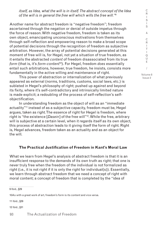*itself, as Idea, what the will is in itself. The abstract concept of the Idea of the will is in general the free will which wills the free will."*<sup>9</sup>

Another name for abstract freedom is "negative freedom"; freedom ascertained through the negation or denial of outside impetus through the force of reason. With negative freedom, freedom is taken as its own object, emancipating unconscious motivations from themselves through self-reflection and empowering reason to make a broad scope of potential decisions through the recognition of freedom as subjective arbitration. However, the array of potential decisions generated at this moment of free will is, for Hegel, not yet a situation of true freedom, as it entails the abstracted *content* of freedom disassociated from its true *form* (that is, it's *form-content*10). For Hegel, freedom *does* essentially entail such arbitrations, however, true freedom, he insists, consists more fundamentally in the active willing and maintenance of right.

This power of abstraction or internalization of what previously appeared as external (norms, traditions, customs, social laws, etc.) is sublated in Hegel's philosophy of right; pushed up against and beyond its fixity, where it's self-contradictory and intrinsically limited nature is made explicit; a redoubling of the process of self-reflection's selfobjectification.

In understanding freedom as the object of will as an "immediate actuality"<sup>11</sup> instead of as a subjective capacity, freedom must be, Hegel argues, taken as right. The essence of right for Hegel is freedom, where right is "the existence [*Dasein*] of the free will"12. While the free, arbitrary will is subjective at a certain level, when it regards itself as its own object, this process of abstraction leads to it giving itself the form of right. Right is, Hegel advances, freedom taken as an actuality and as an object for the will.

#### **The Practical Justification of Freedom in Kant's Moral Law**

What we learn from Hegel's analysis of abstract freedom is that it is an insufficient response to the demands of its own truth as right; that one is never truly free when the freedom of the individual is not formalized as right (i.e., it is not right if it is only the right for individual(s)). Essentially, we learn through abstract freedom that we need a concept of right with moral content; a concept of freedom that is completed by the "idea of

................................ 9 Ibid., §29

10As with a great work of art, freedom's form is its content and vice versa.

11 Ibid., §29

12 Ibid., §31

C R I S I S & C R I T  $\mathbf{I}$  $\Omega$ U E / Volume 8 Issue 2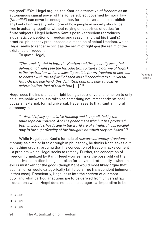the good".13 Yet, Hegel argues, the Kantian alternative of freedom as an autonomous causal power of the active subject governed by moral law (*Moralität*) can never be enough either, for it is never able to establish any kind of universally valid form of how people in society should be free in actuality together without relying on doctrines of duties for finite subjects. Hegel believes Kant's positive freedom reproduces a dualistic conception of freedom and reason, and that his (Kant's) practical philosophy presupposes a dimension of actual freedom, which Hegel seeks to render explicit as the realm of right *qua* the realm of the existence of freedom.

To quote Hegel,

*"The crucial point in both the Kantian and the generally accepted definition of right (see the Introduction to Kant's Doctrine of Right) is the 'restriction which makes it possible for my freedom or self-will to coexist with the self-will of each and all according to a universal*  law'. On the one hand, this definition contains only a negative *determination, that of restriction* […]*".*<sup>14</sup>

Hegel sees the insistence on right being a restrictive phenomenon to only be sustainable when it is taken as something not immanently rational but as an external, formal universal. Hegel asserts that Kantian moral autonomy is

*"…devoid of any speculative thinking and is repudiated by the philosophical concept. And the phenomena which it has produced both in people's heads and in the world are of a frightfulness parallel only to the superficiality of the thoughts on which they are based".15*

While Hegel sees Kant's formula of *reason=autonomy=freedom= morality* as a major breakthrough in philosophy, he thinks Kant leaves out something crucial, arguing that his conception of freedom lacks content – a problem which Hegel seeks to remedy. Further, the conception of freedom formulized by Kant, Hegel worries, risks the possibility of the subjective inclination being mistaken for universal rationality – wherein evil is mistaken for the good (though Kant would most likely argue that such an error would categorically fail to be a true transcendent judgment, in that case). Presciently, Hegel asks into the *content* of our moral duty, and what particular actions are to be derived from universal law – questions which Hegel does not see the categorical imperative to be

13 Ibid., §33 14 Ibid., §29 15 Ibid., §29

C R I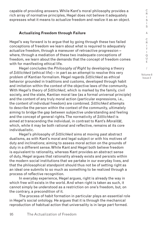capable of providing answers. While Kant's moral philosophy provides a rich array of normative principles, Hegel does not believe it adequately expresses what it means to actualize freedom and realize it as an object.

# **Actualizing Freedom through Failure**

Hegel's way forward is to argue that by going through these two failed conceptions of freedom we learn about what is required to adequately actualize freedom, through a maneuver of retroactive progression – where, through a mediation of these two inadequate conceptions of freedom, we learn about the demands that the concept of freedom comes with for manifesting ethical life.

Hegel concludes the *Philosophy of Right* by developing a theory of *Sittlichkeit* (ethical life) – in part as an attempt to resolve this very problem of Kantian formalism. Hegel regards *Sittlichkeit* as ethical behavior grounded in traditions and customs, developed through habit and imitation within the context of the objective laws of the community. With Hegel's theory of *Sittlichkeit*, which is marked by the family, civil society, and the state, Kantian moral law (as a formal universal principle) and the content of any truly moral action (particular expressions, i.e., the content of individual freedom) are combined. *Sittlichkeit* attempts to describe the person within the context of the community, ultimately aiming to bridge the gap between subjective understanding and feeling and the concept of general rights. The normativity of *Sittlichkeit* is aimed at transcending the individual, in contrast to Kant's *Moralität*, which, while it may be both rational and reflective, remains at its core individualistic.

Hegel's philosophy of *Sittlichkeit* aims at moving past abstract dualisms, as with Kant's moral and legal subject or with his motives of duty and inclinations; aiming to assess moral action on the grounds of duty in a different sense. While Kant and Hegel both believe freedom is equivalent to rationality, whereas Kant provides an abstract sense of duty, Hegel argues that rationality already exists and persists within the modern social institutions that we partake in our everyday lives, and that the philosophical standpoint should thus not be of setting right as an ideal one submits to so much as something to be realized through a process of reflective recognition.

In everyday experience, Hegel argues, right is already the way in which free will exists in the world. And when right is taken as such, it cannot simply be understood as a restriction on one's freedom, but, on the contrary, a precondition of it.

The process of habit formation in particular plays an essential role in Hegel's social ontology. He argues that it is through the mechanical reproduction of habitual action that universality is in large part formed.

C R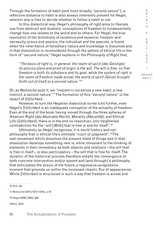Through the formation of habit (and more broadly "second nature"), a reflective distance to habit is also always inherently present for Hegel, wherein one is free to decide whether to follow a habit or not.

In this dialectical way, Hegel's philosophy of right aims to liberate one from abstract and dualistic conceptions of freedom to fundamentally change how one relates to the world and to others. For Hegel, the true resolution of the dichotomy of existence and essence, freedom and necessity, praxis and poeisis, the individual and the species, is found when the inheritance of hereditary nature and knowledge is dissolved and in that dissolution is reconsidered through the sphere of ethical life in the form of "second nature." Hegel explains in the *Philosophy of Right* that,

*"The basis of right is, in general, the realm of spirit [das Geistige]; its precise place and point of origin is the will. The will is free, so that freedom is both its substance and its goal, while the system of right is the realm of freedom made actual, the world of spirit [Geist] brought forth out of itself as a second nature."*<sup>16</sup>

Or, as Neitzsche puts it, we "implant in ourselves a new habit, a new instinct, a second nature."17 The formation of this "second nature" is the object of *Sittlichkeit*.

However, to turn the Hegelian dialectical screw a bit further, even Hegel's *Sittlichkeit* is an inadequate conception of the actuality of freedom. Even at the end of the book, having moved through the three spheres of Abstract Right (*das Abstrakte Recht*), Morality (*Moralität*), and Ethical Life (*Sittlichkeit*), there is in the end no resolution, only heightened contradiction for the "will [*Wille*] that is free in and for itself".18

Ultimately, as Hegel recognizes, it is world history and not philosophy that is ethical life's ultimate "court of judgment".19 The real movement which dissolves the present state of things and in that dissolution develops something new is, while immanent to the thinking of elements in their immediacy as both objects and relations – the will that is free in itself – is also participatory – the will that is free for itself. The dynamic of the historical process therefore entails the convergence of both concrete intervention and/or assent and (and through) a philosophy that anticipates the praxis of the future; a regressive–progressive moment that grounds us within the incessant chaotic flux of appearances. While *Sittlichkeit* is structured in such a way that freedom is actual and

16 Ibid., §4

17 Nietzsche 2014 [1873–1876], p.76

18 Hegel 2008 [1820], §33.

19Ibid., §341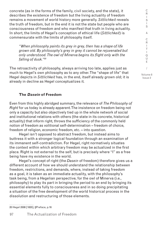concrete (as in the forms of the family, civil society, and the state), it describes the existence of freedom but the living actuality of freedom remains a movement of world history more generally. *Sittlichkeit* reveals the truth of freedom, but in the end it is not the state but people who are consciousness of freedom and who manifest that truth in living actuality. In short, the limits of Hegel's conception of ethical life (*Sittlichkeit*) is commensurate with the limits of philosophy itself.

*"When philosophy paints its grey in grey, then has a shape of life grown old. By philosophy's grey in grey it cannot be rejuvenated but only understood. The owl of Minerva begins its flight only with the falling of dusk."20*

The retroactivity of philosophy, always arriving too late, applies just as much to Hegel's own philosophy as to any other. The "shape of life" that Hegel depicts in *Sittlichkeit* has, in the end, itself already grown old; it is already in decline as Hegel conceptualizes it.

## **The Dasein of Freedom**

Even from this highly abridged summary, the relevance of *The Philosophy of Right* for us today is already apparent. The insistence on freedom being not only a capacity but also objectively tied up in the whole network of social and institutional relations with others (the state in its concrete, historical actuality) that inform right, throws the sufficiency of the commonly held notion of freedom as volitional self-determination – freedom of choice, freedom of religion, economic freedom, etc. – into question.

Hegel isn't opposed to abstract freedom, but instead aims to buttress it with a stronger logical foundation through an examination of its immanent self-contradiction. For Hegel, right normatively situates the context within which arbitrary freedom may be actualized in the first place. Right is not external to the self, but is precisely where "I" as a free being have my existence in the world.

Hegel's concept of right (the *Dasein* of freedom) therefore gives us a different account of how we should understand the relationship between freedom, restrictions, and demands, where, instead of taking freedom as a goal, it is taken as an immediate actuality, with the philosophy's task being, from a Hegelian perspective, for the owl of Minerva (i.e., philosophy) to play its part in bringing the period to an end by bringing its essential elements fully to consciousness and in so doing precipitating a situation of the free development of the world historical process in the dissolution and restructuring of those elements.

20 Hegel 2008 [1820], §Preface, p.16

C R I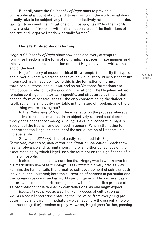But still, since the *Philosophy of Right* aims to provide a philosophical account of right and its realization in the world, what does it really take to be subjectively free in an objectively rational social order, taking into account the limitations of philosophy itself? In other words, how is a state of freedom, with full consciousness of the limitations of positive and negative freedom, actually formed?

# **Hegel's Philosophy of Bildung**

Hegel's *Philosophy of Right* show how each and every attempt to formalize freedom in the form of right fails, in a determinate manner, and this even includes the conception of it that Hegel leaves us with at the end of the book.

Hegel's theory of modern ethical life attempts to identify the type of social world wherein a strong sense of individuality could be successfully integrated in civil society. Key to this is the formation of norms, traditions, customs, social laws, and so on. Yet these formations are ambiguous in relation to the good and the rational. The Hegelian subject remains contingent, historically specific, and structured by this or that epochal form of consciousness – the only constant being the dialectic itself. Yet is this ambiguity inevitable in the nature of freedom, or is there something we are leaving out?

In the *Philosophy of Right*, Hegel reflects on the process whereby subjective freedom is manifest in an objectively rational social order through the concept of *Bildung. Bildung* is a crucial concept in Hegel's account of the free will and selfhood in general. When attempting to understand the Hegelian account of the actualization of freedom, it is indispensible.

So what is *Bildung*? It is not easily translated into English. *Formation, cultivation, maturation, enculturation, education* – each term has its relevance and its limitations. There is neither consensus on the exact meaning by which Hegel uses the term nor on the significance of it in his philosophy.

It should not come as a surprise that Hegel, who is well known for his meticulous use of terminology, uses *Bildung* in a very precise way. For him, the term entails the formative self-development of spirit as both individual and universal; both the cultivation of persons in particular and the human race construed as world spirit in general. He portrays it as a historical process of spirit coming to know itself as spirit; a process of self-formation that is riddled by contradictions, as one might expect.

*Bildung* takes place as a self-driven process of cultivation as well as a social enterprise entailing the liberation from everything predetermined and given. Immediately we can see here the essential role of abstract (negative) freedom at play. However, Hegel goes further, passing

C R I T I Q U E / Volume 8

C R  $\mathbf{I}$ S I S &

Issue 2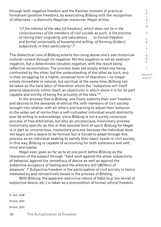through both negative freedom and the Kantian moment of practical formalism (positive freedom), by associating *Bildung* with the recognition of otherness – a distinctly Hegelian maneuver. Hegel writes,

*"[T]he interest of the idea [of freedom], which does not lie in the consciousness of the members of civil society as such, is the process of raising their singularity and naturalness . . . to formal freedom and formal universality of knowing and willing, of forming (bilden) subjectivity in their particularity"*. 21

The dialectical core of *Bildung* entails the rising above one's own historicalcultural context through its negation. Yet this negation is not an abstract negation, but a determinate (double) negation, with the result being reflective reconciliation. The process does not simply entail one being confronted by the other, but the understanding of the other as such, and in that, struggling for a higher, universal form of liberation – no longer simply immediate or natural, but spiritual at the same time. *Bildung* can be taken as the hard labor of liberation where the "subjective will itself attains objectivity within itself, an objectivity in which alone it is for its part capable and worthy of being the actuality of the Idea." $22$ 

In the process that is *Bildung*, one freely submits their own freedom and desires to the demands of ethical life, with members of civil society brought into relation with all others and learning to adjust their behavior to the wider set of norms than a self-cultivated individual would abstractly ever be willing to acknowledge, since *Bildung* is not a purely conscious process of free arbitration, but also an unconscious, involuntary process historically specific as this or that epochal form of spirit. *Bildung* for Hegel is in part an unconscious, involuntary process because the individual does not begin with a desire to be formed, but is forced to adapt through this process as an individual seeking to satisfy their basic needs in civil society. In this way, *Bildung* is capable of accounting for both substance and self; mind and matter.

Hegel even goes so far as to at one point define *Bildung* as the liberation of the subject through "hard work against the sheer subjectivity of behavior, against the immediacy of desire as well as against the subjective arrogance of feeling and the arbitrary will (*Willkur*) of pleasure".23 Subjective freedom in the participation of civil society is hence mediated by and retroactively based in the process of *Bildung*.

With *Bildung,* the apparent restrictive nature of habit (e.g. the denial of subjective desire, etc.) is taken as a precondition of formal, *ethical freedom.*

21 Ibid., §189 22 Ibid., §187 23 Ibid., §187

S I S & C R I T I Q U E / Volume 8

Issue 2

C R  $\mathbf{I}$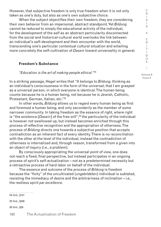However, that subjective freedom is only true freedom when it is not only taken as one's duty, but also as one's own subjective choice.

When the subject objectifies their own freedom, they are considering their own behavior from an impersonal, abstract standpoint. Yet *Bildung*  cannot be reduced to simply the educational activity of the individual, for the development of the self as an abstract particularity disconnected from the social and historical-cultural world overlooks the link between an individual's self-development and their encounter with the world, transcending one's particular contextual cultural situation and entailing more concretely the self-cultivation of *Dasein* toward universality in general.

### **Freedom's Substance**

#### *"Education is the art of making people ethical."*<sup>24</sup>

In a striking passage, Hegel writes that "It belongs to *Bildung*, thinking as an individual's consciousness in the form of the universal, that I am grasped as a universal person, in which everyone is identical. The human being counts because he is a human being, not because he is Jewish, Catholic, Protestant, German, Italian, etc."25

In other words, *Bildung* allows us to regard every human being as first and foremost a human being, and only secondarily as the member of some narrower community. In taking freedom as the essence of right, where right is "the existence [*Dasein*] of the free will",<sup>26</sup> the particularity of the individual is however not swallowed up, but instead becomes enriched through this process of reflective recognition and the appropriation of otherness. The process of *Bildung* directs one towards a subjective position that accepts contradiction as an inherent fact of every identity. There is no reconciliation with the other at the level of the individual, instead the contradiction of otherness is internalized and, through reason, transformed from a given into an object of inquiry (i.e., a problem).

By consciously appropriating the universal point of view, one does not reach a fixed, final perspective, but instead participates in an ongoing process of spirit's self-actualization – not as a predetermined necessity but a retroactive process of hard labor on behalf of the individual.

The essence and outcome of the process of *Bildung* is freedom because the "fixity" of the uncultivated (*ungebildeten*) individual is sublated, resisting the immediacy of desire and the arbitrariness of inclination – i.e., the restless spirit *par excellence*.

24 Ibid., §151 25 Ibid., §209 26 Ibid., §29

/ Volume 8 Issue 2

C R I S I S & C R I T I Q U E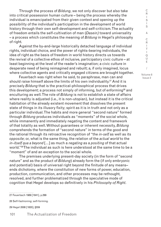Through the process of *Bildung*, we not only discover but also take into critical possession human culture – being the process whereby the individual is emancipated from their given context and opening up the possibility of the individual's participation in the development of world history through their own self-development and self-criticism. The actuality of freedom entails the self-cultivation of man (*Dasein)* toward universality – a process which constitutes the meaning of *Bildung* in Hegel's philosophy of right.

Against the by-and-large historically detached language of individual rights, individual choice, and the power of rights-bearing individuals, the idea of right as the basis of freedom in world history directs us towards the revival of a collective ethos of inclusive, participatory civic culture – at least beginning at the level of the reader's imagination; a civic culture in desperate need of being reimagined and rebuilt; a, if only imagined, locus where collective agents and critically engaged citizens are brought together.

Feuerbach was right when he said, to paraphrase, man can and should raise himself above the limits of his own individuality.<sup>27</sup> And it is precisely *Bildung* that is the practical-philosophical process that drives this development; a process not simply of informing, but of enforming<sup>28</sup> and enculturing as well. The role of *Bildung* is not to establish a state of affairs where reality is adjusted (i.e., it is non-utopian), but instead it is the critical habitation of the already existent movement that dissolves the present state of things in its illusory fixity; spirit as it is in truth and not only as a particular individual. The habits and more general "second nature" formed through *Bildung* produces individuals as "moments" of the social whole, while immanently and immediately negating the content and framework of that totality as well. Without guarantees or inherent necessity, *Bildung* comprehends the formation of "second nature" in terms of the good and the rational through its retroactive recognition of "the *in-self* as well as its *opposite*; or, what is the same thing, the relation of the *actual world* to the *in-itself qua a beyond* […] as much a *negating* as a *positing* of that actual world."29 The individual as such is here understood at the same time to be a "moment" of and an exception to the social whole.

The premises underlying present-day society (in the form of "second nature" and as the product of *Bildung*) already form the (if only embryonic and potential) basis of universal right beyond the finitude of any means– ends dichotomy, where the constitution of new forms of power, education, production, communication, and other processes may be rethought, resolved, and further problematized through the speculative mode of cognition that Hegel develops so definitively in his *Philosophy of Right*.

R I S I S & C R I T I Q U E / Volume 8 Issue 2

C

<sup>27</sup> Feuerbach 1989 [1841], p.299

<sup>28</sup> Self-fashioning; self-forming.

<sup>29</sup> Hegel 2008 [1820], §559